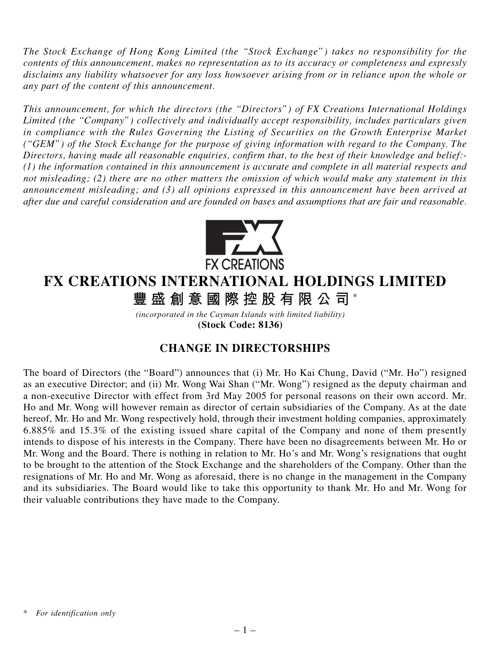*The Stock Exchange of Hong Kong Limited (the "Stock Exchange") takes no responsibility for the contents of this announcement, makes no representation as to its accuracy or completeness and expressly disclaims any liability whatsoever for any loss howsoever arising from or in reliance upon the whole or any part of the content of this announcement.*

*This announcement, for which the directors (the "Directors") of FX Creations International Holdings Limited (the "Company") collectively and individually accept responsibility, includes particulars given in compliance with the Rules Governing the Listing of Securities on the Growth Enterprise Market ("GEM") of the Stock Exchange for the purpose of giving information with regard to the Company. The Directors, having made all reasonable enquiries, confirm that, to the best of their knowledge and belief:- (1) the information contained in this announcement is accurate and complete in all material respects and not misleading; (2) there are no other matters the omission of which would make any statement in this announcement misleading; and (3) all opinions expressed in this announcement have been arrived at after due and careful consideration and are founded on bases and assumptions that are fair and reasonable.*



## **FX CREATIONS INTERNATIONAL HOLDINGS LIMITED**

**豐盛創意國際控股有限公司** \*

*(incorporated in the Cayman Islands with limited liability)* **(Stock Code: 8136)**

## **CHANGE IN DIRECTORSHIPS**

The board of Directors (the "Board") announces that (i) Mr. Ho Kai Chung, David ("Mr. Ho") resigned as an executive Director; and (ii) Mr. Wong Wai Shan ("Mr. Wong") resigned as the deputy chairman and a non-executive Director with effect from 3rd May 2005 for personal reasons on their own accord. Mr. Ho and Mr. Wong will however remain as director of certain subsidiaries of the Company. As at the date hereof, Mr. Ho and Mr. Wong respectively hold, through their investment holding companies, approximately 6.885% and 15.3% of the existing issued share capital of the Company and none of them presently intends to dispose of his interests in the Company. There have been no disagreements between Mr. Ho or Mr. Wong and the Board. There is nothing in relation to Mr. Ho's and Mr. Wong's resignations that ought to be brought to the attention of the Stock Exchange and the shareholders of the Company. Other than the resignations of Mr. Ho and Mr. Wong as aforesaid, there is no change in the management in the Company and its subsidiaries. The Board would like to take this opportunity to thank Mr. Ho and Mr. Wong for their valuable contributions they have made to the Company.

*<sup>\*</sup> For identification only*